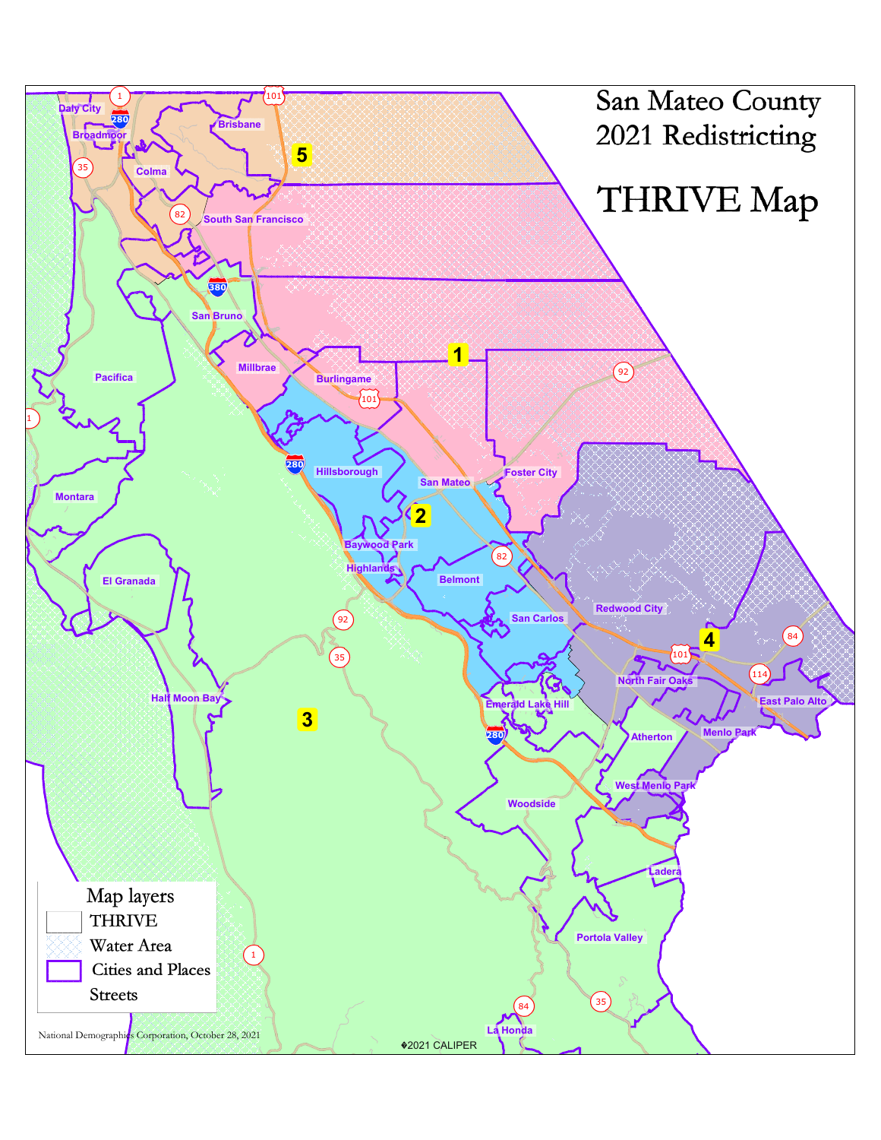